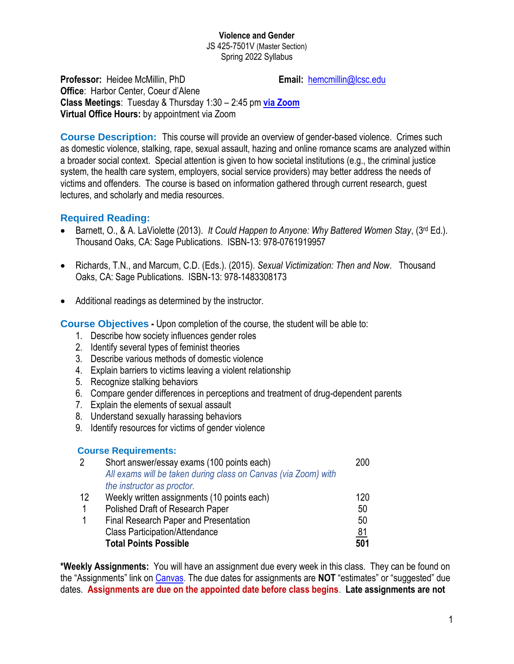JS 425-7501V (Master Section) Spring 2022 Syllabus

**Professor:** Heidee McMillin, PhD **Email:** [hemcmillin@lcsc.edu](mailto:hemcmillin@lcsc.edu)

**Office**: Harbor Center, Coeur d'Alene **Class Meetings**: Tuesday & Thursday 1:30 – 2:45 pm **[via Zoom](https://lcsc.zoom.us/j/93002204022) Virtual Office Hours:** by appointment via Zoom

**Course Description:** This course will provide an overview of gender-based violence. Crimes such as domestic violence, stalking, rape, sexual assault, hazing and online romance scams are analyzed within a broader social context. Special attention is given to how societal institutions (e.g., the criminal justice system, the health care system, employers, social service providers) may better address the needs of victims and offenders. The course is based on information gathered through current research, guest lectures, and scholarly and media resources.

# **Required Reading:**

- Barnett, O., & A. LaViolette (2013). *It Could Happen to Anyone: Why Battered Women Stay*, (3rd Ed.). Thousand Oaks, CA: Sage Publications. ISBN-13: 978-0761919957
- Richards, T.N., and Marcum, C.D. (Eds.). (2015). *Sexual Victimization: Then and Now*. Thousand Oaks, CA: Sage Publications. ISBN-13: 978-1483308173
- Additional readings as determined by the instructor.

**Course Objectives -** Upon completion of the course, the student will be able to:

- 1. Describe how society influences gender roles
- 2. Identify several types of feminist theories
- 3. Describe various methods of domestic violence
- 4. Explain barriers to victims leaving a violent relationship
- 5. Recognize stalking behaviors
- 6. Compare gender differences in perceptions and treatment of drug-dependent parents
- 7. Explain the elements of sexual assault
- 8. Understand sexually harassing behaviors
- 9. Identify resources for victims of gender violence

### **Course Requirements:**

| $\overline{2}$ | Short answer/essay exams (100 points each)                     | 200       |
|----------------|----------------------------------------------------------------|-----------|
|                | All exams will be taken during class on Canvas (via Zoom) with |           |
|                | the instructor as proctor.                                     |           |
| 12             | Weekly written assignments (10 points each)                    | 120       |
|                | Polished Draft of Research Paper                               | 50        |
|                | Final Research Paper and Presentation                          | 50        |
|                | <b>Class Participation/Attendance</b>                          | <u>81</u> |
|                | <b>Total Points Possible</b>                                   | 501       |

**\*Weekly Assignments:** You will have an assignment due every week in this class. They can be found on the "Assignments" link on [Canvas.](https://lcsc.instructure.com/login/canvas) The due dates for assignments are **NOT** "estimates" or "suggested" due dates. **Assignments are due on the appointed date before class begins**. **Late assignments are not**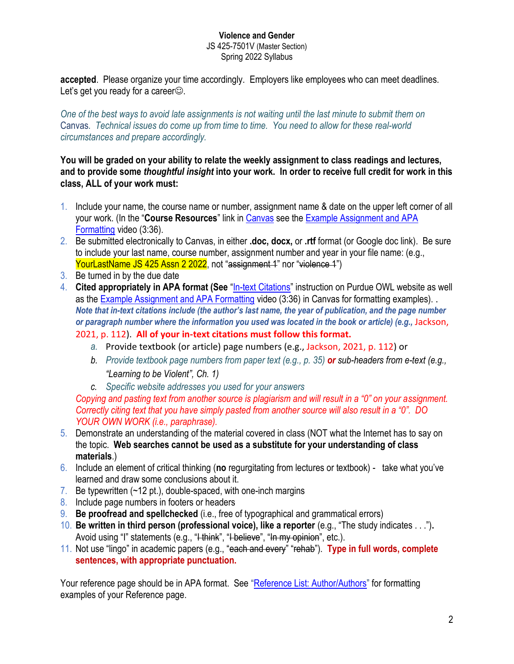**accepted**. Please organize your time accordingly. Employers like employees who can meet deadlines. Let's get you ready for a career.

*One of the best ways to avoid late assignments is not waiting until the last minute to submit them on*  Canvas*. Technical issues do come up from time to time. You need to allow for these real-world circumstances and prepare accordingly.*

### **You will be graded on your ability to relate the weekly assignment to class readings and lectures, and to provide some** *thoughtful insight* **into your work. In order to receive full credit for work in this class, ALL of your work must:**

- 1. Include your name, the course name or number, assignment name & date on the upper left corner of all your work. (In the "**Course Resources**" link in [Canvas](https://lcsc.instructure.com/login/canvas) see the [Example Assignment and APA](https://www.youtube.com/watch?v=TXqd4Ku9k-E&feature=youtu.be)  [Formatting](https://www.youtube.com/watch?v=TXqd4Ku9k-E&feature=youtu.be) video (3:36).
- 2. Be submitted electronically to Canvas, in either **.doc, docx,** or **.rtf** format (or Google doc link). Be sure to include your last name, course number, assignment number and year in your file name: (e.g., YourLastName JS 425 Assn 2 2022, not "assignment 4" nor "violence 4")
- 3. Be turned in by the due date
- 4. **Cited appropriately in APA format (See** "[In-text Citations](https://owl.purdue.edu/owl/research_and_citation/apa_style/apa_formatting_and_style_guide/in_text_citations_author_authors.html)" instruction on Purdue OWL website as well as the [Example Assignment and APA Formatting](https://www.youtube.com/watch?v=TXqd4Ku9k-E&feature=youtu.be) video (3:36) in Canvas for formatting examples). . *Note that in-text citations include (the author's last name, the year of publication, and the page number or paragraph number where the information you used was located in the book or article) (e.g.,* Jackson, 2021, p. 112). **All of your in-text citations must follow this format.**
	- *a.* Provide textbook (or article) page numbers (e.g., Jackson, 2021, p. 112) or
	- *b. Provide textbook page numbers from paper text (e.g., p. 35) or sub-headers from e-text (e.g., "Learning to be Violent", Ch. 1)*
	- *c. Specific website addresses you used for your answers*

*Copying and pasting text from another source is plagiarism and will result in a "0" on your assignment. Correctly citing text that you have simply pasted from another source will also result in a "0". DO YOUR OWN WORK (i.e., paraphrase).* 

- 5. Demonstrate an understanding of the material covered in class (NOT what the Internet has to say on the topic. **Web searches cannot be used as a substitute for your understanding of class materials**.)
- 6. Include an element of critical thinking (**no** regurgitating from lectures or textbook) take what you've learned and draw some conclusions about it.
- 7. Be typewritten (~12 pt.), double-spaced, with one-inch margins
- 8. Include page numbers in footers or headers
- 9. **Be proofread and spellchecked** (i.e., free of typographical and grammatical errors)
- 10. **Be written in third person (professional voice), like a reporter** (e.g., "The study indicates . . .")**.** Avoid using "I" statements (e.g., "<del>I think</del>", "I believe", "In my opinion", etc.).
- 11. Not use "lingo" in academic papers (e.g., "each and every" "rehab"). **Type in full words, complete sentences, with appropriate punctuation.**

Your reference page should be in APA format. See "[Reference List: Author/Authors](https://owl.purdue.edu/owl/research_and_citation/apa_style/apa_formatting_and_style_guide/reference_list_author_authors.html)" for formatting examples of your Reference page.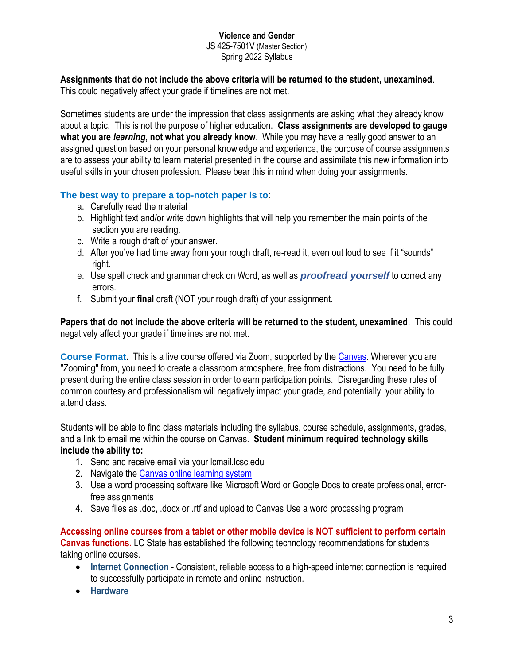#### **Violence and Gender** JS 425-7501V (Master Section)

Spring 2022 Syllabus

**Assignments that do not include the above criteria will be returned to the student, unexamined**.

This could negatively affect your grade if timelines are not met.

Sometimes students are under the impression that class assignments are asking what they already know about a topic. This is not the purpose of higher education. **Class assignments are developed to gauge what you are** *learning***, not what you already know**. While you may have a really good answer to an assigned question based on your personal knowledge and experience, the purpose of course assignments are to assess your ability to learn material presented in the course and assimilate this new information into useful skills in your chosen profession. Please bear this in mind when doing your assignments.

# **The best way to prepare a top-notch paper is to**:

- a. Carefully read the material
- b. Highlight text and/or write down highlights that will help you remember the main points of the section you are reading.
- c. Write a rough draft of your answer.
- d. After you've had time away from your rough draft, re-read it, even out loud to see if it "sounds" right.
- e. Use spell check and grammar check on Word, as well as *proofread yourself* to correct any errors.
- f. Submit your **final** draft (NOT your rough draft) of your assignment.

**Papers that do not include the above criteria will be returned to the student, unexamined**. This could negatively affect your grade if timelines are not met.

**Course Format.** This is a live course offered via Zoom, supported by the [Canvas.](https://lcsc.instructure.com/login/canvas) Wherever you are "Zooming" from, you need to create a classroom atmosphere, free from distractions. You need to be fully present during the entire class session in order to earn participation points. Disregarding these rules of common courtesy and professionalism will negatively impact your grade, and potentially, your ability to attend class.

Students will be able to find class materials including the syllabus, course schedule, assignments, grades, and a link to email me within the course on Canvas. **Student minimum required technology skills include the ability to:**

- 1. Send and receive email via your lcmail.lcsc.edu
- 2. Navigate the [Canvas online learning system](https://lcsc.instructure.com/login/canvas)
- 3. Use a word processing software like Microsoft Word or Google Docs to create professional, errorfree assignments
- 4. Save files as .doc, .docx or .rtf and upload to Canvas Use a word processing program

**Accessing online courses from a tablet or other mobile device is NOT sufficient to perform certain Canvas functions.** LC State has established the following technology recommendations for students taking online courses.

- **Internet Connection** Consistent, reliable access to a high-speed internet connection is required to successfully participate in remote and online instruction.
- **Hardware**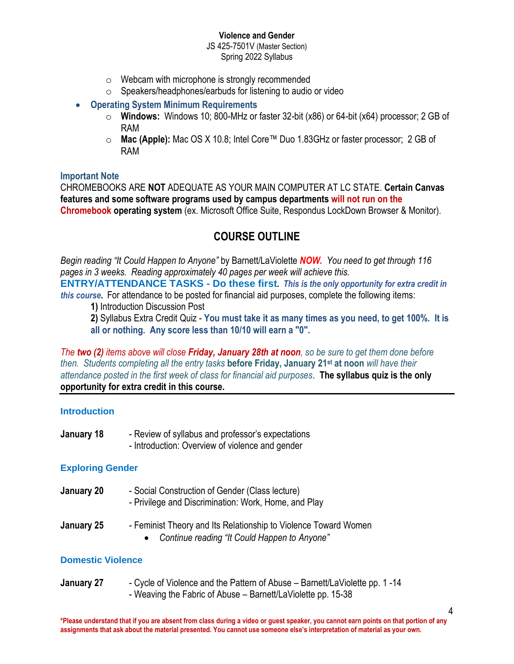JS 425-7501V (Master Section) Spring 2022 Syllabus

- $\circ$  Webcam with microphone is strongly recommended
- o Speakers/headphones/earbuds for listening to audio or video
- **Operating System Minimum Requirements** 
	- o **Windows:** Windows 10; 800-MHz or faster 32-bit (x86) or 64-bit (x64) processor; 2 GB of RAM
	- o **Mac (Apple):** Mac OS X 10.8; Intel Core™ Duo 1.83GHz or faster processor; 2 GB of RAM

#### **Important Note**

CHROMEBOOKS ARE **NOT** ADEQUATE AS YOUR MAIN COMPUTER AT LC STATE. **Certain Canvas features and some software programs used by campus departments will not run on the Chromebook operating system** (ex. Microsoft Office Suite, Respondus LockDown Browser & Monitor).

# **COURSE OUTLINE**

*Begin reading "It Could Happen to Anyone"* by Barnett/LaViolette *NOW. You need to get through 116 pages in 3 weeks. Reading approximately 40 pages per week will achieve this.* **ENTRY/ATTENDANCE TASKS - Do these first.** *This is the only opportunity for extra credit in this course***.** For attendance to be posted for financial aid purposes, complete the following items:

**1)** Introduction Discussion Post

**2)** Syllabus Extra Credit Quiz - **You must take it as many times as you need, to get 100%. It is all or nothing. Any score less than 10/10 will earn a "0".**

*The two (2) items above will close Friday, January 28th at noon, so be sure to get them done before then. Students completing all the entry tasks* **before Friday, January 21 st at noon** *will have their attendance posted in the first week of class for financial aid purposes*. **The syllabus quiz is the only opportunity for extra credit in this course.**

### **Introduction**

- **January 18** Review of syllabus and professor's expectations
	- Introduction: Overview of violence and gender

### **Exploring Gender**

- **January 20** Social Construction of Gender (Class lecture)
	- Privilege and Discrimination: Work, Home, and Play
- **January 25** Feminist Theory and Its Relationship to Violence Toward Women • *Continue reading "It Could Happen to Anyone"*

### **Domestic Violence**

**January 27** - Cycle of Violence and the Pattern of Abuse – Barnett/LaViolette pp. 1 -14 - Weaving the Fabric of Abuse – Barnett/LaViolette pp. 15-38

4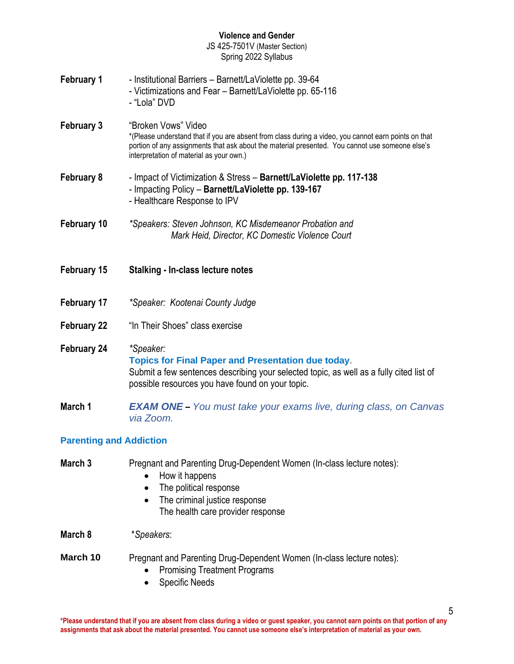JS 425-7501V (Master Section) Spring 2022 Syllabus

| <b>February 1</b>  | - Institutional Barriers - Barnett/LaViolette pp. 39-64<br>- Victimizations and Fear - Barnett/LaViolette pp. 65-116<br>- "Lola" DVD                                                                                                                                       |
|--------------------|----------------------------------------------------------------------------------------------------------------------------------------------------------------------------------------------------------------------------------------------------------------------------|
| <b>February 3</b>  | "Broken Vows" Video<br>*(Please understand that if you are absent from class during a video, you cannot earn points on that<br>portion of any assignments that ask about the material presented. You cannot use someone else's<br>interpretation of material as your own.) |
| February 8         | - Impact of Victimization & Stress - Barnett/LaViolette pp. 117-138<br>- Impacting Policy - Barnett/LaViolette pp. 139-167<br>- Healthcare Response to IPV                                                                                                                 |
| February 10        | *Speakers: Steven Johnson, KC Misdemeanor Probation and<br>Mark Heid, Director, KC Domestic Violence Court                                                                                                                                                                 |
|                    |                                                                                                                                                                                                                                                                            |
| February 15        | <b>Stalking - In-class lecture notes</b>                                                                                                                                                                                                                                   |
| February 17        | *Speaker: Kootenai County Judge                                                                                                                                                                                                                                            |
| <b>February 22</b> | "In Their Shoes" class exercise                                                                                                                                                                                                                                            |
| February 24        | *Speaker:<br><b>Topics for Final Paper and Presentation due today.</b><br>Submit a few sentences describing your selected topic, as well as a fully cited list of<br>possible resources you have found on your topic.                                                      |
| March 1            | <b>EXAM ONE</b> - You must take your exams live, during class, on Canvas<br>via Zoom.                                                                                                                                                                                      |

# **March 3** Pregnant and Parenting Drug-Dependent Women (In-class lecture notes):

- How it happens
- The political response
- The criminal justice response The health care provider response

**March 8** \**Speakers*:

### **March 10** Pregnant and Parenting Drug-Dependent Women (In-class lecture notes):

- Promising Treatment Programs
- Specific Needs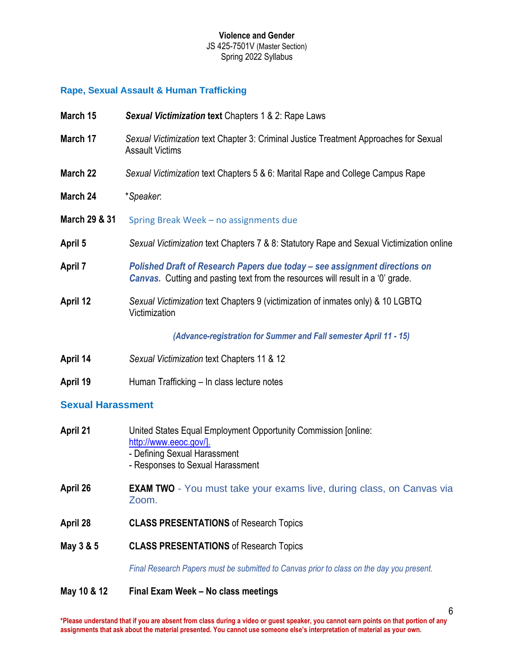### **Rape, Sexual Assault & Human Trafficking**

| March 15       | Sexual Victimization text Chapters 1 & 2: Rape Laws                                                                                                                  |
|----------------|----------------------------------------------------------------------------------------------------------------------------------------------------------------------|
| March 17       | Sexual Victimization text Chapter 3: Criminal Justice Treatment Approaches for Sexual<br><b>Assault Victims</b>                                                      |
| March 22       | Sexual Victimization text Chapters 5 & 6: Marital Rape and College Campus Rape                                                                                       |
| March 24       | *Speaker:                                                                                                                                                            |
| March 29 & 31  | Spring Break Week - no assignments due                                                                                                                               |
| April 5        | Sexual Victimization text Chapters 7 & 8: Statutory Rape and Sexual Victimization online                                                                             |
| <b>April 7</b> | Polished Draft of Research Papers due today - see assignment directions on<br><b>Canvas.</b> Cutting and pasting text from the resources will result in a '0' grade. |
| April 12       | Sexual Victimization text Chapters 9 (victimization of inmates only) & 10 LGBTQ<br>Victimization                                                                     |
|                | (Advance-registration for Summer and Fall semester April 11 - 15)                                                                                                    |
| April 14       | Sexual Victimization text Chapters 11 & 12                                                                                                                           |
| April 19       | Human Trafficking - In class lecture notes                                                                                                                           |

### **Sexual Harassment**

| April 21  | United States Equal Employment Opportunity Commission Jonline:<br>http://www.eeoc.gov/].<br>- Defining Sexual Harassment<br>- Responses to Sexual Harassment |
|-----------|--------------------------------------------------------------------------------------------------------------------------------------------------------------|
| April 26  | <b>EXAM TWO</b> - You must take your exams live, during class, on Canvas via<br>Zoom.                                                                        |
| April 28  | <b>CLASS PRESENTATIONS of Research Topics</b>                                                                                                                |
| May 3 & 5 | <b>CLASS PRESENTATIONS of Research Topics</b>                                                                                                                |
|           | Final Research Papers must be submitted to Canvas prior to class on the day you present.                                                                     |

# **May 10 & 12 Final Exam Week – No class meetings**

6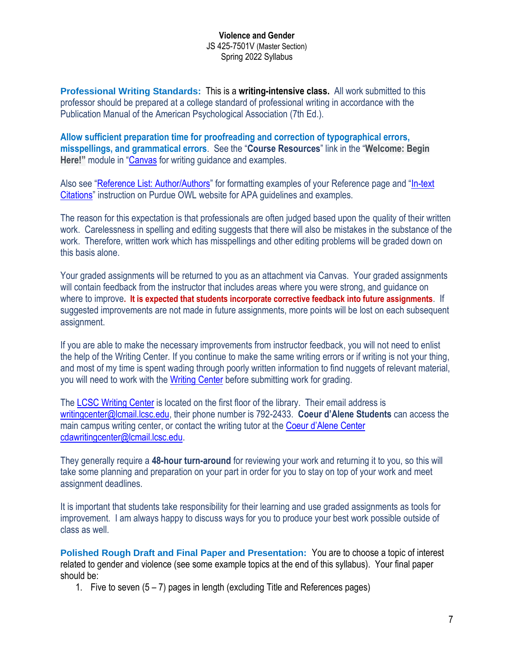**Professional Writing Standards:** This is a **writing-intensive class.** All work submitted to this professor should be prepared at a college standard of professional writing in accordance with the Publication Manual of the American Psychological Association (7th Ed.).

**Allow sufficient preparation time for proofreading and correction of typographical errors, misspellings, and grammatical errors**. See the "**Course Resources**" link in the "**Welcome: Begin Here!"** module in "[Canvas](https://lcsc.instructure.com/login/canvas) for writing guidance and examples.

Also see "Reference List: **Author/Authors**" for formatting examples of your Reference page and "In-text [Citations](https://owl.purdue.edu/owl/research_and_citation/apa_style/apa_formatting_and_style_guide/in_text_citations_author_authors.html)" instruction on Purdue OWL website for APA guidelines and examples.

The reason for this expectation is that professionals are often judged based upon the quality of their written work. Carelessness in spelling and editing suggests that there will also be mistakes in the substance of the work. Therefore, written work which has misspellings and other editing problems will be graded down on this basis alone.

Your graded assignments will be returned to you as an attachment via Canvas. Your graded assignments will contain feedback from the instructor that includes areas where you were strong, and guidance on where to improve**. It is expected that students incorporate corrective feedback into future assignments**. If suggested improvements are not made in future assignments, more points will be lost on each subsequent assignment.

If you are able to make the necessary improvements from instructor feedback, you will not need to enlist the help of the Writing Center. If you continue to make the same writing errors or if writing is not your thing, and most of my time is spent wading through poorly written information to find nuggets of relevant material, you will need to work with the [Writing](http://www.lcsc.edu/writing-center/distance-students/) Center before submitting work for grading.

Th[e LCSC Writing Center](https://www.lcsc.edu/writing-center/) is located on the first floor of the library. Their email address is [writingcenter@lcmail.lcsc.edu,](mailto:writingcenter@lcmail.lcsc.edu) their phone number is 792-2433. **Coeur d'Alene Students** can access the main campus writing center, or contact the writing tutor at the [Coeur d'Alene Center](mailto:Coeur%20d’Alene%20Center) [cdawritingcenter@lcmail.lcsc.edu.](mailto:cdawritingcenter@lcmail.lcsc.edu)

They generally require a **48-hour turn-around** for reviewing your work and returning it to you, so this will take some planning and preparation on your part in order for you to stay on top of your work and meet assignment deadlines.

It is important that students take responsibility for their learning and use graded assignments as tools for improvement. I am always happy to discuss ways for you to produce your best work possible outside of class as well.

**Polished Rough Draft and Final Paper and Presentation:** You are to choose a topic of interest related to gender and violence (see some example topics at the end of this syllabus). Your final paper should be:

1. Five to seven (5 – 7) pages in length (excluding Title and References pages)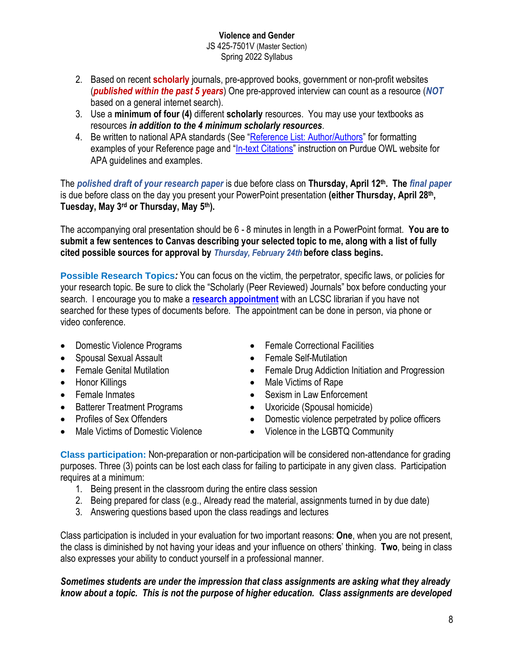#### **Violence and Gender** JS 425-7501V (Master Section)

- Spring 2022 Syllabus
- 2. Based on recent **scholarly** journals, pre-approved books, government or non-profit websites (*published within the past 5 years*) One pre-approved interview can count as a resource (*NOT* based on a general internet search).
- 3. Use a **minimum of four (4)** different **scholarly** resources. You may use your textbooks as resources *in addition to the 4 minimum scholarly resources*.
- 4. Be written to national APA standards (See "[Reference List: Author/Authors](https://owl.purdue.edu/owl/research_and_citation/apa_style/apa_formatting_and_style_guide/reference_list_author_authors.html)" for formatting examples of your Reference page and "[In-text Citations](https://owl.purdue.edu/owl/research_and_citation/apa_style/apa_formatting_and_style_guide/in_text_citations_author_authors.html)" instruction on Purdue OWL website for APA guidelines and examples.

The *polished draft of your research paper* is due before class on **Thursday, April 12th. The** *final paper* is due before class on the day you present your PowerPoint presentation **(either Thursday, April 28th, Tuesday, May 3 rd or Thursday, May 5 th).**

The accompanying oral presentation should be 6 - 8 minutes in length in a PowerPoint format. **You are to submit a few sentences to Canvas describing your selected topic to me, along with a list of fully cited possible sources for approval by** *Thursday, February 24th* **before class begins.**

**Possible Research Topics***:* You can focus on the victim, the perpetrator, specific laws, or policies for your research topic. Be sure to click the "Scholarly (Peer Reviewed) Journals" box before conducting your search. I encourage you to make a **[research appointment](http://lcsc.libcal.com/appointments/)** with an LCSC librarian if you have not searched for these types of documents before. The appointment can be done in person, via phone or video conference.

- 
- Spousal Sexual Assault Female Self-Mutilation
- 
- 
- 
- Batterer Treatment Programs Uxoricide (Spousal homicide)
- 
- 
- Domestic Violence Programs Female Correctional Facilities
	-
- Female Genital Mutilation Female Drug Addiction Initiation and Progression
- Honor Killings  **Male Victims of Rape**
- Female Inmates Sexism in Law Enforcement
	-
- Profiles of Sex Offenders Domestic violence perpetrated by police officers
	- Male Victims of Domestic Violence Violence in the LGBTQ Community

**Class participation:** Non-preparation or non-participation will be considered non-attendance for grading purposes. Three (3) points can be lost each class for failing to participate in any given class. Participation requires at a minimum:

- 1. Being present in the classroom during the entire class session
- 2. Being prepared for class (e.g., Already read the material, assignments turned in by due date)
- 3. Answering questions based upon the class readings and lectures

Class participation is included in your evaluation for two important reasons: **One**, when you are not present, the class is diminished by not having your ideas and your influence on others' thinking. **Two**, being in class also expresses your ability to conduct yourself in a professional manner.

*Sometimes students are under the impression that class assignments are asking what they already know about a topic. This is not the purpose of higher education. Class assignments are developed*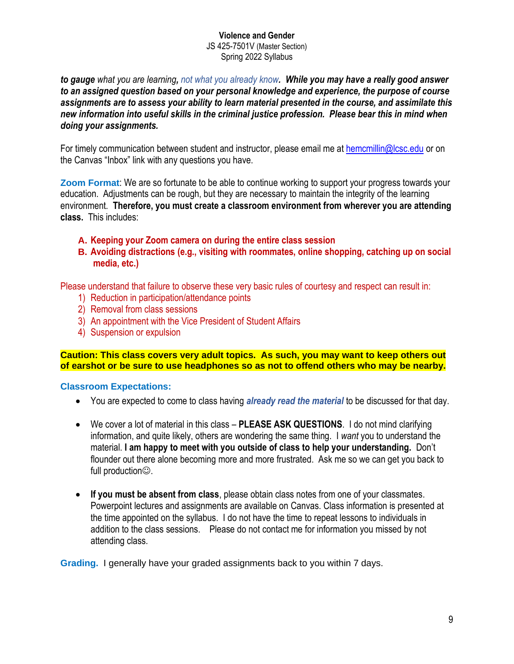*to gauge what you are learning, not what you already know. While you may have a really good answer to an assigned question based on your personal knowledge and experience, the purpose of course assignments are to assess your ability to learn material presented in the course, and assimilate this new information into useful skills in the criminal justice profession. Please bear this in mind when doing your assignments.* 

For timely communication between student and instructor, please email me at [hemcmillin@lcsc.edu](mailto:hemcmillin@lcsc.edu) or on the Canvas "Inbox" link with any questions you have.

**Zoom Format**: We are so fortunate to be able to continue working to support your progress towards your education. Adjustments can be rough, but they are necessary to maintain the integrity of the learning environment. **Therefore, you must create a classroom environment from wherever you are attending class.** This includes:

- **A. Keeping your Zoom camera on during the entire class session**
- **B. Avoiding distractions (e.g., visiting with roommates, online shopping, catching up on social media, etc.)**

Please understand that failure to observe these very basic rules of courtesy and respect can result in:

- 1) Reduction in participation/attendance points
- 2) Removal from class sessions
- 3) An appointment with the Vice President of Student Affairs
- 4) Suspension or expulsion

**Caution: This class covers very adult topics. As such, you may want to keep others out of earshot or be sure to use headphones so as not to offend others who may be nearby.**

#### **Classroom Expectations:**

- You are expected to come to class having *already read the material* to be discussed for that day.
- We cover a lot of material in this class **PLEASE ASK QUESTIONS**. I do not mind clarifying information, and quite likely, others are wondering the same thing. I *want* you to understand the material. **I am happy to meet with you outside of class to help your understanding.** Don't flounder out there alone becoming more and more frustrated. Ask me so we can get you back to full production**☺**.
- **If you must be absent from class**, please obtain class notes from one of your classmates. Powerpoint lectures and assignments are available on Canvas. Class information is presented at the time appointed on the syllabus. I do not have the time to repeat lessons to individuals in addition to the class sessions. Please do not contact me for information you missed by not attending class.

**Grading.** I generally have your graded assignments back to you within 7 days.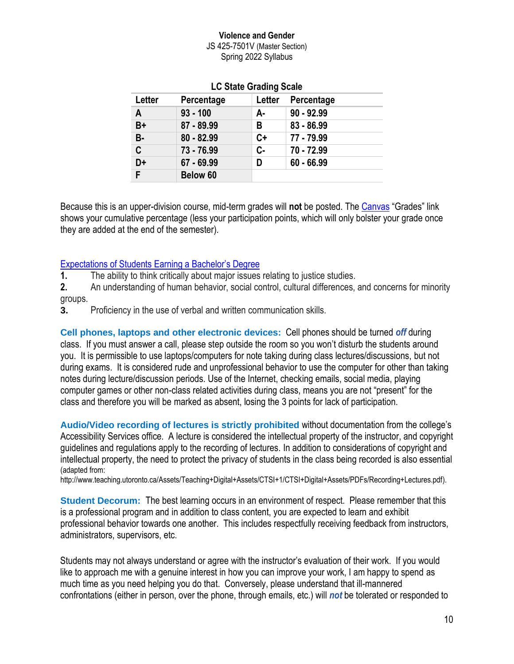JS 425-7501V (Master Section) Spring 2022 Syllabus

| Letter    | Percentage   | Letter | Percentage   |
|-----------|--------------|--------|--------------|
| A         | $93 - 100$   | А-     | $90 - 92.99$ |
| B+        | 87 - 89.99   | В      | $83 - 86.99$ |
| <b>B-</b> | $80 - 82.99$ | $C+$   | 77 - 79.99   |
| C         | $73 - 76.99$ | $C -$  | 70 - 72.99   |
| D+        | $67 - 69.99$ | D      | $60 - 66.99$ |
| F         | Below 60     |        |              |

### **LC State Grading Scale**

Because this is an upper-division course, mid-term grades will **not** be posted. The [Canvas](https://lcsc.instructure.com/login/canvas) "Grades" link shows your cumulative percentage (less your participation points, which will only bolster your grade once they are added at the end of the semester).

### [Expectations of Students](http://catalog.lcsc.edu/academic-programs/social-sciences-division/social-sciences-division.pdf) Earning a Bachelor's Degree

**1.** The ability to think critically about major issues relating to justice studies.

**2.** An understanding of human behavior, social control, cultural differences, and concerns for minority groups.

**3.** Proficiency in the use of verbal and written communication skills.

**Cell phones, laptops and other electronic devices:** Cell phones should be turned *off* during class. If you must answer a call, please step outside the room so you won't disturb the students around you. It is permissible to use laptops/computers for note taking during class lectures/discussions, but not during exams. It is considered rude and unprofessional behavior to use the computer for other than taking notes during lecture/discussion periods. Use of the Internet, checking emails, social media, playing computer games or other non-class related activities during class, means you are not "present" for the class and therefore you will be marked as absent, losing the 3 points for lack of participation.

**Audio/Video recording of lectures is strictly prohibited** without documentation from the college's Accessibility Services office. A lecture is considered the intellectual property of the instructor, and copyright guidelines and regulations apply to the recording of lectures. In addition to considerations of copyright and intellectual property, the need to protect the privacy of students in the class being recorded is also essential (adapted from:

http://www.teaching.utoronto.ca/Assets/Teaching+Digital+Assets/CTSI+1/CTSI+Digital+Assets/PDFs/Recording+Lectures.pdf).

**Student Decorum:** The best learning occurs in an environment of respect. Please remember that this is a professional program and in addition to class content, you are expected to learn and exhibit professional behavior towards one another. This includes respectfully receiving feedback from instructors, administrators, supervisors, etc.

Students may not always understand or agree with the instructor's evaluation of their work. If you would like to approach me with a genuine interest in how you can improve your work, I am happy to spend as much time as you need helping you do that. Conversely, please understand that ill-mannered confrontations (either in person, over the phone, through emails, etc.) will *not* be tolerated or responded to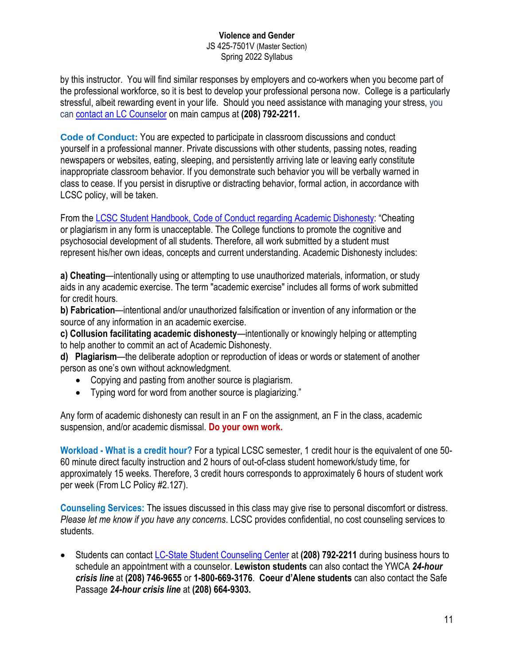JS 425-7501V (Master Section) Spring 2022 Syllabus

by this instructor. You will find similar responses by employers and co-workers when you become part of the professional workforce, so it is best to develop your professional persona now. College is a particularly stressful, albeit rewarding event in your life. Should you need assistance with managing your stress, you can [contact an LC Counselor](https://www.lcsc.edu/student-counseling) on main campus at **(208) 792-2211.**

**Code of Conduct:** You are expected to participate in classroom discussions and conduct yourself in a professional manner. Private discussions with other students, passing notes, reading newspapers or websites, eating, sleeping, and persistently arriving late or leaving early constitute inappropriate classroom behavior. If you demonstrate such behavior you will be verbally warned in class to cease. If you persist in disruptive or distracting behavior, formal action, in accordance with LCSC policy, will be taken.

From the [LCSC Student Handbook, Code of Conduct regarding Academic Dishonesty:](http://www.lcsc.edu/student-affairs/student-code-of-conduct/prohibited-conduct/) "Cheating or plagiarism in any form is unacceptable. The College functions to promote the cognitive and psychosocial development of all students. Therefore, all work submitted by a student must represent his/her own ideas, concepts and current understanding. Academic Dishonesty includes:

**a) Cheating**—intentionally using or attempting to use unauthorized materials, information, or study aids in any academic exercise. The term "academic exercise" includes all forms of work submitted for credit hours.

**b) Fabrication**—intentional and/or unauthorized falsification or invention of any information or the source of any information in an academic exercise.

**c) Collusion facilitating academic dishonesty**—intentionally or knowingly helping or attempting to help another to commit an act of Academic Dishonesty.

**d) Plagiarism**—the deliberate adoption or reproduction of ideas or words or statement of another person as one's own without acknowledgment.

- Copying and pasting from another source is plagiarism.
- Typing word for word from another source is plagiarizing."

Any form of academic dishonesty can result in an F on the assignment, an F in the class, academic suspension, and/or academic dismissal. **Do your own work.**

**Workload - What is a credit hour?** For a typical LCSC semester, 1 credit hour is the equivalent of one 50- 60 minute direct faculty instruction and 2 hours of out-of-class student homework/study time, for approximately 15 weeks. Therefore, 3 credit hours corresponds to approximately 6 hours of student work per week (From LC Policy #2.127).

**Counseling Services:** The issues discussed in this class may give rise to personal discomfort or distress. *Please let me know if you have any concerns*. LCSC provides confidential, no cost counseling services to students.

• Students can contact LC-State [Student Counseling Center](https://www.lcsc.edu/student-counseling) at **(208) 792-2211** during business hours to schedule an appointment with a counselor. **Lewiston students** can also contact the YWCA *24-hour crisis line* at **(208) 746-9655** or **1-800-669-3176**. **Coeur d'Alene students** can also contact the Safe Passage *24-hour crisis line* at **(208) 664-9303.**